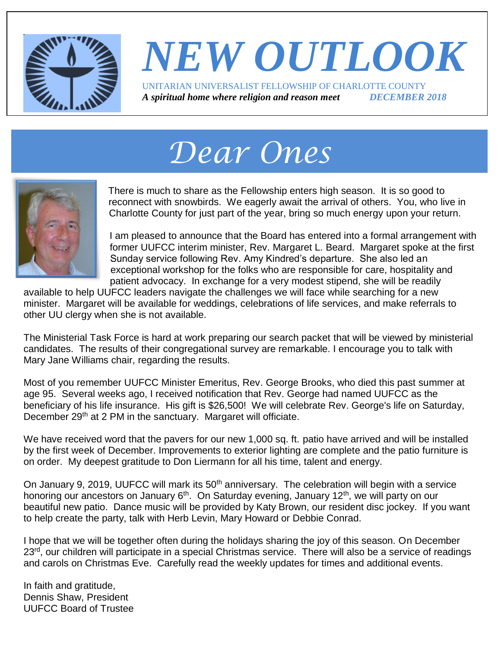

### *NEW OUTLOOK* UNITARIAN UNIVERSALIST FELLOWSHIP OF CHARLOTTE COUNTY *A spiritual home where religion and reason meet DECEMBER 2018*

# *Dear Ones*



There is much to share as the Fellowship enters high season. It is so good to reconnect with snowbirds. We eagerly await the arrival of others. You, who live in Charlotte County for just part of the year, bring so much energy upon your return.

I am pleased to announce that the Board has entered into a formal arrangement with former UUFCC interim minister, Rev. Margaret L. Beard. Margaret spoke at the first Sunday service following Rev. Amy Kindred's departure. She also led an exceptional workshop for the folks who are responsible for care, hospitality and patient advocacy. In exchange for a very modest stipend, she will be readily

available to help UUFCC leaders navigate the challenges we will face while searching for a new minister. Margaret will be available for weddings, celebrations of life services, and make referrals to other UU clergy when she is not available.

The Ministerial Task Force is hard at work preparing our search packet that will be viewed by ministerial candidates. The results of their congregational survey are remarkable. I encourage you to talk with Mary Jane Williams chair, regarding the results.

Most of you remember UUFCC Minister Emeritus, Rev. George Brooks, who died this past summer at age 95. Several weeks ago, I received notification that Rev. George had named UUFCC as the beneficiary of his life insurance. His gift is \$26,500! We will celebrate Rev. George's life on Saturday, December 29<sup>th</sup> at 2 PM in the sanctuary. Margaret will officiate.

We have received word that the pavers for our new 1,000 sq. ft. patio have arrived and will be installed by the first week of December. Improvements to exterior lighting are complete and the patio furniture is on order. My deepest gratitude to Don Liermann for all his time, talent and energy.

On January 9, 2019, UUFCC will mark its 50<sup>th</sup> anniversary. The celebration will begin with a service honoring our ancestors on January 6<sup>th</sup>. On Saturday evening, January 12<sup>th</sup>, we will party on our beautiful new patio. Dance music will be provided by Katy Brown, our resident disc jockey. If you want to help create the party, talk with Herb Levin, Mary Howard or Debbie Conrad.

I hope that we will be together often during the holidays sharing the joy of this season. On December 23<sup>rd</sup>, our children will participate in a special Christmas service. There will also be a service of readings and carols on Christmas Eve. Carefully read the weekly updates for times and additional events.

In faith and gratitude, Dennis Shaw, President UUFCC Board of Trustee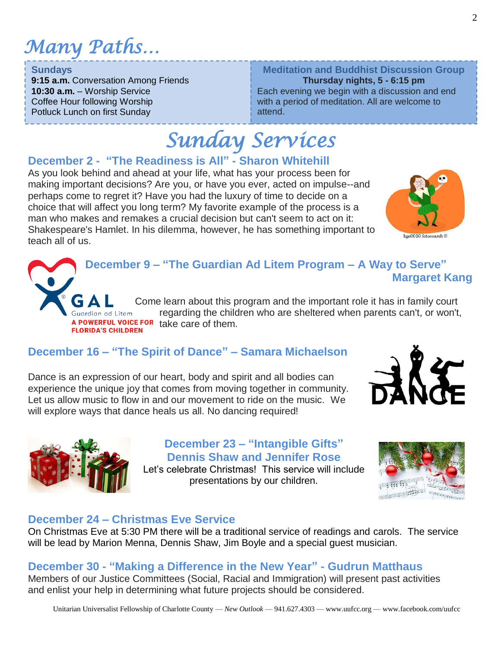### *Many Paths…*

#### **Sundays**

**9:15 a.m.** Conversation Among Friends **10:30 a.m.** – Worship Service Coffee Hour following Worship Potluck Lunch on first Sunday

#### **Meditation and Buddhist Discussion Group**

**Thursday nights, 5 - 6:15 pm** Each evening we begin with a discussion and end with a period of meditation. All are welcome to attend.

# *Sunday Services*

#### **December 2 - "The Readiness is All" - Sharon Whitehill**

As you look behind and ahead at your life, what has your process been for making important decisions? Are you, or have you ever, acted on impulse--and perhaps come to regret it? Have you had the luxury of time to decide on a choice that will affect you long term? My favorite example of the process is a man who makes and remakes a crucial decision but can't seem to act on it: Shakespeare's Hamlet. In his dilemma, however, he has something important to teach all of us.



Come learn about this program and the important role it has in family court regarding the children who are sheltered when parents can't, or won't, A POWERFUL VOICE FOR take care of them. **FLORIDA'S CHILDREN** 

#### **December 16 – "The Spirit of Dance" – Samara Michaelson**

Dance is an expression of our heart, body and spirit and all bodies can experience the unique joy that comes from moving together in community. Let us allow music to flow in and our movement to ride on the music. We will explore ways that dance heals us all. No dancing required!

> **December 23 – "Intangible Gifts" Dennis Shaw and Jennifer Rose**

Let's celebrate Christmas! This service will include presentations by our children.



#### **December 24 – Christmas Eve Service**

On Christmas Eve at 5:30 PM there will be a traditional service of readings and carols. The service will be lead by Marion Menna, Dennis Shaw, Jim Boyle and a special guest musician.

#### **December 30 - "Making a Difference in the New Year" - Gudrun Matthaus**

Members of our Justice Committees (Social, Racial and Immigration) will present past activities and enlist your help in determining what future projects should be considered.



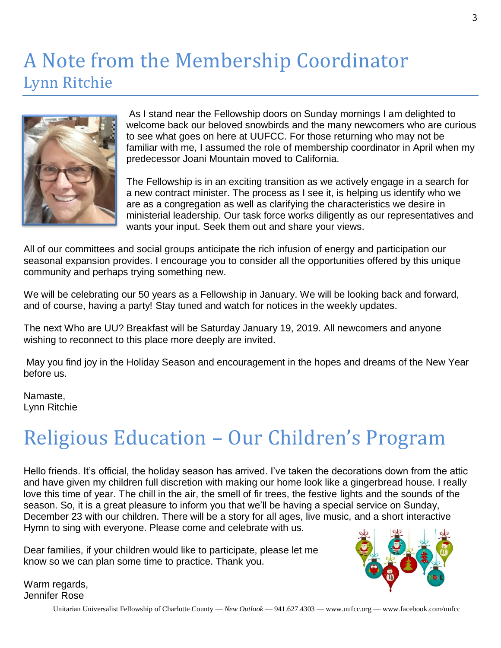### A Note from the Membership Coordinator Lynn Ritchie



As I stand near the Fellowship doors on Sunday mornings I am delighted to welcome back our beloved snowbirds and the many newcomers who are curious to see what goes on here at UUFCC. For those returning who may not be familiar with me, I assumed the role of membership coordinator in April when my predecessor Joani Mountain moved to California.

The Fellowship is in an exciting transition as we actively engage in a search for a new contract minister. The process as I see it, is helping us identify who we are as a congregation as well as clarifying the characteristics we desire in ministerial leadership. Our task force works diligently as our representatives and wants your input. Seek them out and share your views.

All of our committees and social groups anticipate the rich infusion of energy and participation our seasonal expansion provides. I encourage you to consider all the opportunities offered by this unique community and perhaps trying something new.

We will be celebrating our 50 years as a Fellowship in January. We will be looking back and forward, and of course, having a party! Stay tuned and watch for notices in the weekly updates.

The next Who are UU? Breakfast will be Saturday January 19, 2019. All newcomers and anyone wishing to reconnect to this place more deeply are invited.

May you find joy in the Holiday Season and encouragement in the hopes and dreams of the New Year before us.

Namaste, Lynn Ritchie

## Religious Education – Our Children's Program

Hello friends. It's official, the holiday season has arrived. I've taken the decorations down from the attic and have given my children full discretion with making our home look like a gingerbread house. I really love this time of year. The chill in the air, the smell of fir trees, the festive lights and the sounds of the season. So, it is a great pleasure to inform you that we'll be having a special service on Sunday, December 23 with our children. There will be a story for all ages, live music, and a short interactive Hymn to sing with everyone. Please come and celebrate with us.

Dear families, if your children would like to participate, please let me know so we can plan some time to practice. Thank you.



Warm regards, Jennifer Rose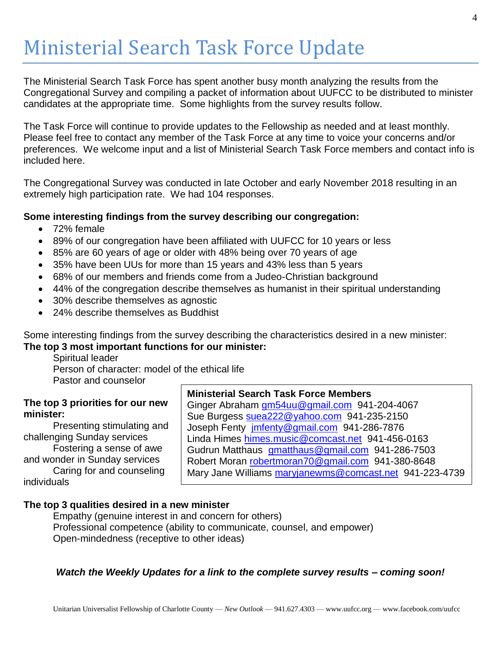### Ministerial Search Task Force Update

The Ministerial Search Task Force has spent another busy month analyzing the results from the Congregational Survey and compiling a packet of information about UUFCC to be distributed to minister candidates at the appropriate time. Some highlights from the survey results follow.

The Task Force will continue to provide updates to the Fellowship as needed and at least monthly. Please feel free to contact any member of the Task Force at any time to voice your concerns and/or preferences. We welcome input and a list of Ministerial Search Task Force members and contact info is included here.

The Congregational Survey was conducted in late October and early November 2018 resulting in an extremely high participation rate. We had 104 responses.

#### **Some interesting findings from the survey describing our congregation:**

- 72% female
- 89% of our congregation have been affiliated with UUFCC for 10 years or less
- 85% are 60 years of age or older with 48% being over 70 years of age
- 35% have been UUs for more than 15 years and 43% less than 5 years
- 68% of our members and friends come from a Judeo-Christian background
- 44% of the congregation describe themselves as humanist in their spiritual understanding
- 30% describe themselves as agnostic
- 24% describe themselves as Buddhist

Some interesting findings from the survey describing the characteristics desired in a new minister: **The top 3 most important functions for our minister:**

Spiritual leader Person of character: model of the ethical life Pastor and counselor

#### **The top 3 priorities for our new minister:**

Presenting stimulating and challenging Sunday services

Fostering a sense of awe and wonder in Sunday services Caring for and counseling individuals

#### **Ministerial Search Task Force Members**

Ginger Abraham [gm54uu@gmail.com](mailto:gm54uu@gmail.com) 941-204-4067 Sue Burgess [suea222@yahoo.com](mailto:suea222@yahoo.com) 941-235-2150 Joseph Fenty [jmfenty@gmail.com](mailto:jmfenty@gmail.com) 941-286-7876 Linda Himes [himes.music@comcast.net](mailto:himes.music@comcast.net) 941-456-0163 Gudrun Matthaus [gmatthaus@gmail.com](mailto:gmatthaus@gmail.com) 941-286-7503 Robert Moran [robertmoran70@gmail.com](mailto:robertmoran70@gmail.com) 941-380-8648 Mary Jane Williams [maryjanewms@comcast.net](mailto:maryjanewms@comcast.net) 941-223-4739

#### **The top 3 qualities desired in a new minister**

Empathy (genuine interest in and concern for others) Professional competence (ability to communicate, counsel, and empower) Open-mindedness (receptive to other ideas)

#### *Watch the Weekly Updates for a link to the complete survey results – coming soon!*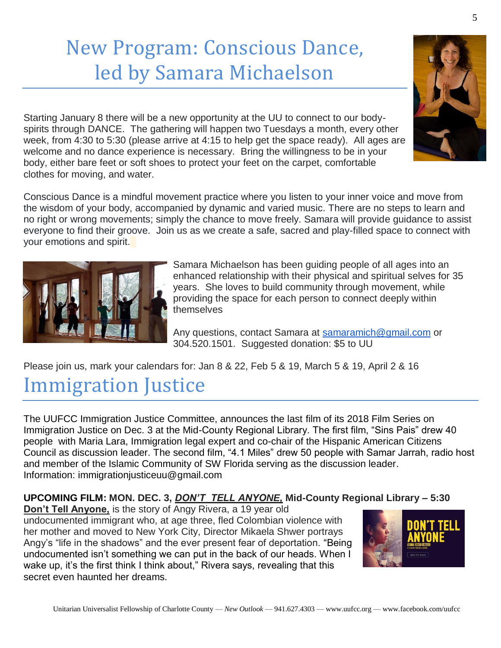# New Program: Conscious Dance, led by Samara Michaelson

Starting January 8 there will be a new opportunity at the UU to connect to our bodyspirits through DANCE. The gathering will happen two Tuesdays a month, every other week, from 4:30 to 5:30 (please arrive at 4:15 to help get the space ready). All ages are welcome and no dance experience is necessary. Bring the willingness to be in your body, either bare feet or soft shoes to protect your feet on the carpet, comfortable clothes for moving, and water.

Conscious Dance is a mindful movement practice where you listen to your inner voice and move from the wisdom of your body, accompanied by dynamic and varied music. There are no steps to learn and no right or wrong movements; simply the chance to move freely. Samara will provide guidance to assist everyone to find their groove. Join us as we create a safe, sacred and play-filled space to connect with your emotions and spirit.



Any questions, contact Samara at [samaramich@gmail.com](mailto:samaramich@gmail.com) or 304.520.1501. Suggested donation: \$5 to UU

Please join us, mark your calendars for: Jan 8 & 22, Feb 5 & 19, March 5 & 19, April 2 & 16

### Immigration Justice

The UUFCC Immigration Justice Committee, announces the last film of its 2018 Film Series on Immigration Justice on Dec. 3 at the Mid-County Regional Library. The first film, "Sins Pais" drew 40 people with Maria Lara, Immigration legal expert and co-chair of the Hispanic American Citizens Council as discussion leader. The second film, "4.1 Miles" drew 50 people with Samar Jarrah, radio host and member of the Islamic Community of SW Florida serving as the discussion leader. Information: immigrationjusticeuu@gmail.com

#### **UPCOMING FILM: MON. DEC. 3,** *DON'T TELL ANYONE,* **Mid-County Regional Library – 5:30**

**Don't Tell Anyone,** is the story of Angy Rivera, a 19 year old undocumented immigrant who, at age three, fled Colombian violence with her mother and moved to New York City, Director Mikaela Shwer portrays Angy's "life in the shadows" and the ever present fear of deportation. "Being undocumented isn't something we can put in the back of our heads. When I wake up, it's the first think I think about," Rivera says, revealing that this secret even haunted her dreams.



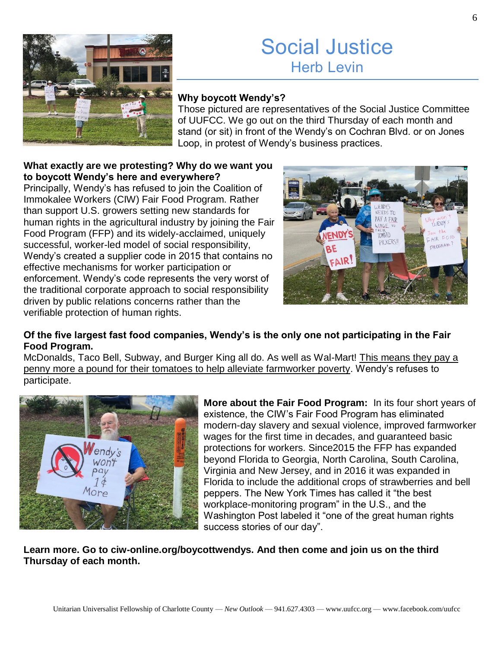

### Social Justice Herb Levin

#### **Why boycott Wendy's?**

Those pictured are representatives of the Social Justice Committee of UUFCC. We go out on the third Thursday of each month and stand (or sit) in front of the Wendy's on Cochran Blvd. or on Jones Loop, in protest of Wendy's business practices.

#### **What exactly are we protesting? Why do we want you to boycott Wendy's here and everywhere?**

Principally, Wendy's has refused to join the Coalition of Immokalee Workers (CIW) Fair Food Program. Rather than support U.S. growers setting new standards for human rights in the agricultural industry by joining the Fair Food Program (FFP) and its widely-acclaimed, uniquely successful, worker-led model of social responsibility, Wendy's created a supplier code in 2015 that contains no effective mechanisms for worker participation or enforcement. Wendy's code represents the very worst of the traditional corporate approach to social responsibility driven by public relations concerns rather than the verifiable protection of human rights.



#### **Of the five largest fast food companies, Wendy's is the only one not participating in the Fair Food Program.**

McDonalds, Taco Bell, Subway, and Burger King all do. As well as Wal-Mart! This means they pay a penny more a pound for their tomatoes to help alleviate farmworker poverty. Wendy's refuses to participate.



**More about the Fair Food Program:** In its four short years of existence, the CIW's Fair Food Program has eliminated modern-day slavery and sexual violence, improved farmworker wages for the first time in decades, and guaranteed basic protections for workers. Since2015 the FFP has expanded beyond Florida to Georgia, North Carolina, South Carolina, Virginia and New Jersey, and in 2016 it was expanded in Florida to include the additional crops of strawberries and bell peppers. The New York Times has called it "the best workplace-monitoring program" in the U.S., and the Washington Post labeled it "one of the great human rights success stories of our day".

**Learn more. Go to ciw-online.org/boycottwendys. And then come and join us on the third Thursday of each month.**